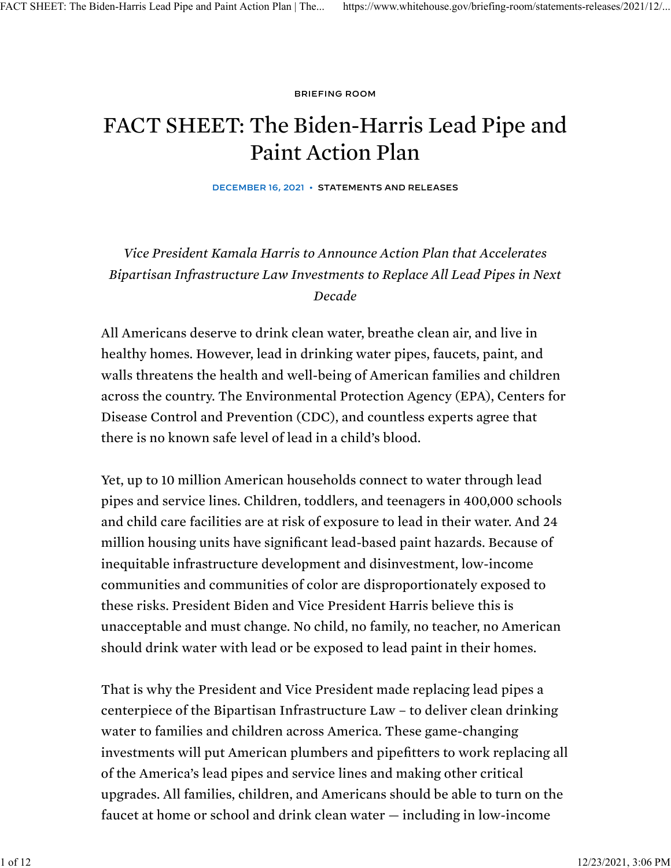[BRIEFING ROOM](https://www.whitehouse.gov/briefing-room/)

# FACT SHEET: The Biden-Harris Lead Pipe and Paint Action Plan

DECEMBER 16, 2021 • [STATEMENTS AND RELEASES](https://www.whitehouse.gov/briefing-room/statements-releases/)

*Vice President Kamala Harris to Announce Action Plan that Accelerates Bipartisan Infrastructure Law Investments to Replace All Lead Pipes in Next Decade*

All Americans deserve to drink clean water, breathe clean air, and live in healthy homes. However, lead in drinking water pipes, faucets, paint, and walls threatens the health and well-being of American families and children across the country. The Environmental Protection Agency (EPA), Centers for Disease Control and Prevention (CDC), and countless experts agree that there is no known safe level of lead in a child's blood.

Yet, up to 10 million American households connect to water through lead pipes and service lines. Children, toddlers, and teenagers in 400,000 schools and child care facilities are at risk of exposure to lead in their water. And 24 million housing units have significant lead-based paint hazards. Because of inequitable infrastructure development and disinvestment, low-income communities and communities of color are disproportionately exposed to these risks. President Biden and Vice President Harris believe this is unacceptable and must change. No child, no family, no teacher, no American should drink water with lead or be exposed to lead paint in their homes.

That is why the President and Vice President made replacing lead pipes a centerpiece of the Bipartisan Infrastructure Law – to deliver clean drinking water to families and children across America. These game-changing investments will put American plumbers and pipefitters to work replacing all of the America's lead pipes and service lines and making other critical upgrades. All families, children, and Americans should be able to turn on the faucet at home or school and drink clean water — including in low-income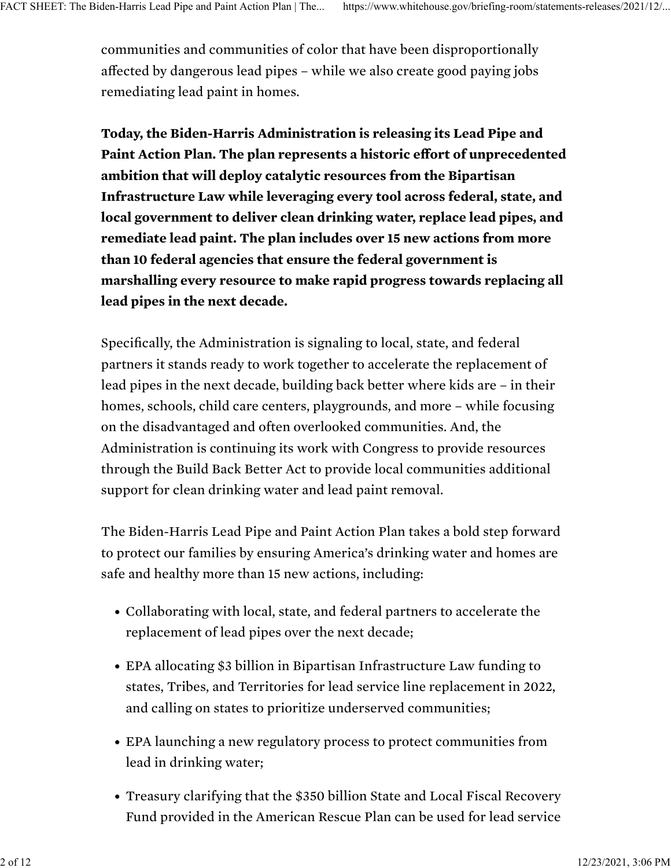communities and communities of color that have been disproportionally affected by dangerous lead pipes – while we also create good paying jobs remediating lead paint in homes.

Today, the Biden-Harris Administration is releasing its Lead Pipe and Paint Action Plan. The plan represents a historic effort of unprecedented ambition that will deploy catalytic resources from the Bipartisan Infrastructure Law while leveraging every tool across federal, state, and local government to deliver clean drinking water, replace lead pipes, and remediate lead paint. The plan includes over 15 new actions from more than 10 federal agencies that ensure the federal government is marshalling every resource to make rapid progress towards replacing all lead pipes in the next decade.

Specifically, the Administration is signaling to local, state, and federal partners it stands ready to work together to accelerate the replacement of lead pipes in the next decade, building back better where kids are – in their homes, schools, child care centers, playgrounds, and more – while focusing on the disadvantaged and often overlooked communities. And, the Administration is continuing its work with Congress to provide resources through the Build Back Better Act to provide local communities additional support for clean drinking water and lead paint removal.

The Biden-Harris Lead Pipe and Paint Action Plan takes a bold step forward to protect our families by ensuring America's drinking water and homes are safe and healthy more than 15 new actions, including:

- Collaborating with local, state, and federal partners to accelerate the replacement of lead pipes over the next decade;
- EPA allocating \$3 billion in Bipartisan Infrastructure Law funding to states, Tribes, and Territories for lead service line replacement in 2022, and calling on states to prioritize underserved communities;
- EPA launching a new regulatory process to protect communities from lead in drinking water;
- Treasury clarifying that the \$350 billion State and Local Fiscal Recovery Fund provided in the American Rescue Plan can be used for lead service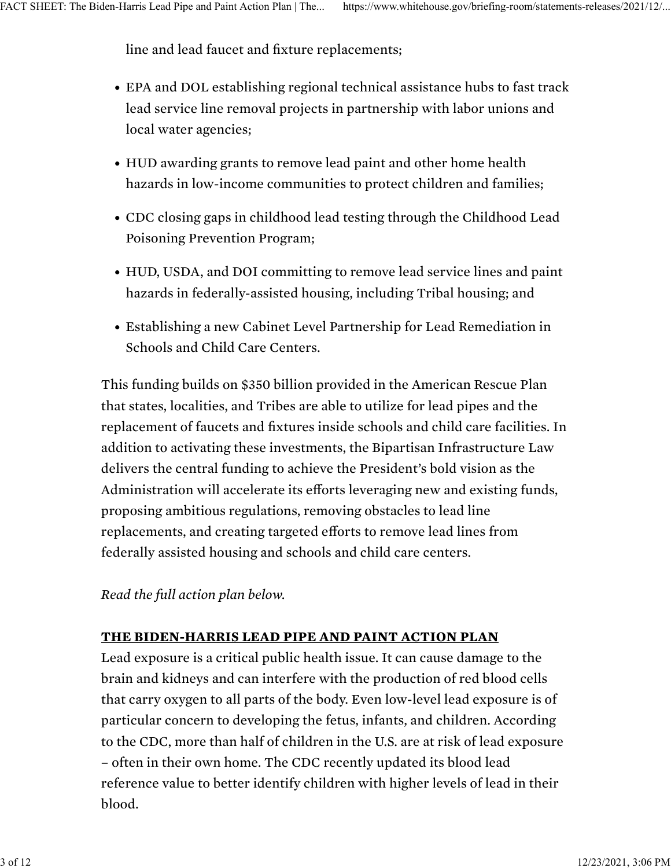line and lead faucet and fixture replacements;

- EPA and DOL establishing regional technical assistance hubs to fast track lead service line removal projects in partnership with labor unions and local water agencies;
- HUD awarding grants to remove lead paint and other home health hazards in low-income communities to protect children and families;
- CDC closing gaps in childhood lead testing through the Childhood Lead Poisoning Prevention Program;
- HUD, USDA, and DOI committing to remove lead service lines and paint hazards in federally-assisted housing, including Tribal housing; and
- Establishing a new Cabinet Level Partnership for Lead Remediation in Schools and Child Care Centers.

This funding builds on \$350 billion provided in the American Rescue Plan that states, localities, and Tribes are able to utilize for lead pipes and the replacement of faucets and fixtures inside schools and child care facilities. In addition to activating these investments, the Bipartisan Infrastructure Law delivers the central funding to achieve the President's bold vision as the Administration will accelerate its efforts leveraging new and existing funds, proposing ambitious regulations, removing obstacles to lead line replacements, and creating targeted efforts to remove lead lines from federally assisted housing and schools and child care centers.

*Read the full action plan below.*

## THE BIDEN-HARRIS LEAD PIPE AND PAINT ACTION PLAN

Lead exposure is a critical public health issue. It can cause damage to the brain and kidneys and can interfere with the production of red blood cells that carry oxygen to all parts of the body. Even low-level lead exposure is of particular concern to developing the fetus, infants, and children. According to the CDC, more than half of children in the U.S. are at risk of lead exposure – often in their own home. The CDC recently updated its blood lead reference value to better identify children with higher levels of lead in their blood.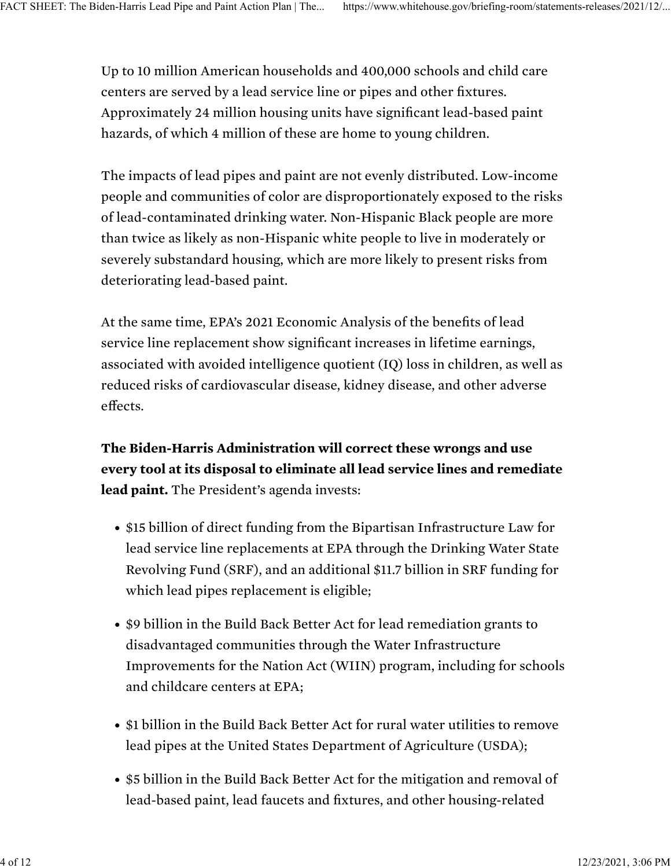Up to 10 million American households and 400,000 schools and child care centers are served by a lead service line or pipes and other fixtures. Approximately 24 million housing units have significant lead-based paint hazards, of which 4 million of these are home to young children.

The impacts of lead pipes and paint are not evenly distributed. Low-income people and communities of color are disproportionately exposed to the risks of lead-contaminated drinking water. Non-Hispanic Black people are more than twice as likely as non-Hispanic white people to live in moderately or severely substandard housing, which are more likely to present risks from deteriorating lead-based paint.

At the same time, EPA's 2021 Economic Analysis of the benefits of lead service line replacement show significant increases in lifetime earnings, associated with avoided intelligence quotient (IQ) loss in children, as well as reduced risks of cardiovascular disease, kidney disease, and other adverse effects.

The Biden-Harris Administration will correct these wrongs and use every tool at its disposal to eliminate all lead service lines and remediate lead paint. The President's agenda invests:

- \$15 billion of direct funding from the Bipartisan Infrastructure Law for lead service line replacements at EPA through the Drinking Water State Revolving Fund (SRF), and an additional \$11.7 billion in SRF funding for which lead pipes replacement is eligible;
- \$9 billion in the Build Back Better Act for lead remediation grants to disadvantaged communities through the Water Infrastructure Improvements for the Nation Act (WIIN) program, including for schools and childcare centers at EPA;
- \$1 billion in the Build Back Better Act for rural water utilities to remove lead pipes at the United States Department of Agriculture (USDA);
- \$5 billion in the Build Back Better Act for the mitigation and removal of lead-based paint, lead faucets and fixtures, and other housing-related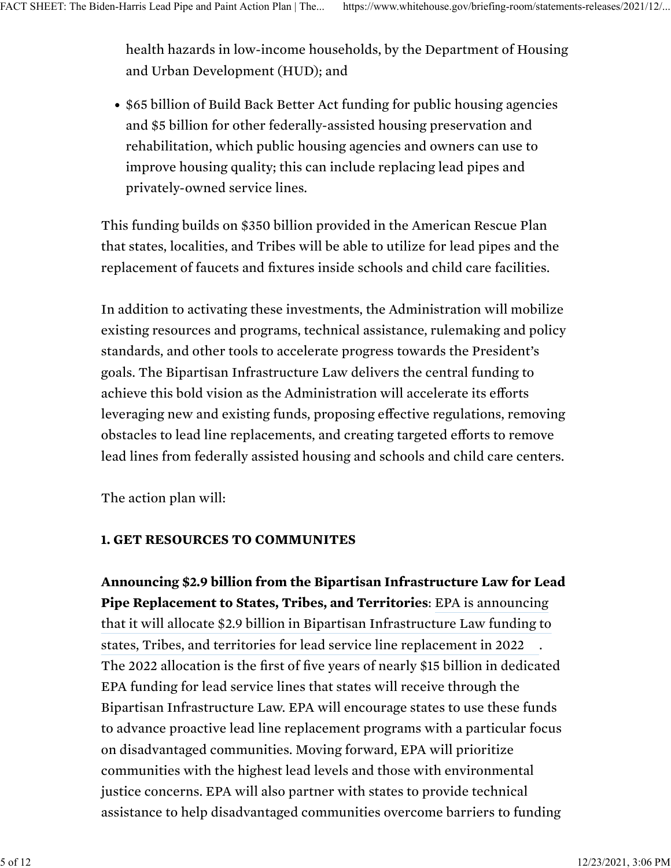health hazards in low-income households, by the Department of Housing and Urban Development (HUD); and

• \$65 billion of Build Back Better Act funding for public housing agencies and \$5 billion for other federally-assisted housing preservation and rehabilitation, which public housing agencies and owners can use to improve housing quality; this can include replacing lead pipes and privately-owned service lines.

This funding builds on \$350 billion provided in the American Rescue Plan that states, localities, and Tribes will be able to utilize for lead pipes and the replacement of faucets and fixtures inside schools and child care facilities.

In addition to activating these investments, the Administration will mobilize existing resources and programs, technical assistance, rulemaking and policy standards, and other tools to accelerate progress towards the President's goals. The Bipartisan Infrastructure Law delivers the central funding to achieve this bold vision as the Administration will accelerate its efforts leveraging new and existing funds, proposing effective regulations, removing obstacles to lead line replacements, and creating targeted efforts to remove lead lines from federally assisted housing and schools and child care centers.

The action plan will:

## 1. GET RESOURCES TO COMMUNITES

Announcing \$2.9 billion from the Bipartisan Infrastructure Law for Lead Pipe Replacement to States, Tribes, and Territories: [EPA is announcing](https://www.epa.gov/infrastructure/water-infrastructure-investments) [.](https://www.epa.gov/infrastructure/water-infrastructure-investments) The 2022 allocation is the first of five years of nearly \$15 billion in dedicated EPA funding for lead service lines that states will receive through the Bipartisan Infrastructure Law. EPA will encourage states to use these funds to advance proactive lead line replacement programs with a particular focus on disadvantaged communities. Moving forward, EPA will prioritize communities with the highest lead levels and those with environmental justice concerns. EPA will also partner with states to provide technical assistance to help disadvantaged communities overcome barriers to funding [that it will allocate \\$2.9 billion in Bipartisan Infrastructure Law funding to](https://www.epa.gov/infrastructure/water-infrastructure-investments) [states, Tribes, and territories for lead service line replacement in 2022](https://www.epa.gov/infrastructure/water-infrastructure-investments)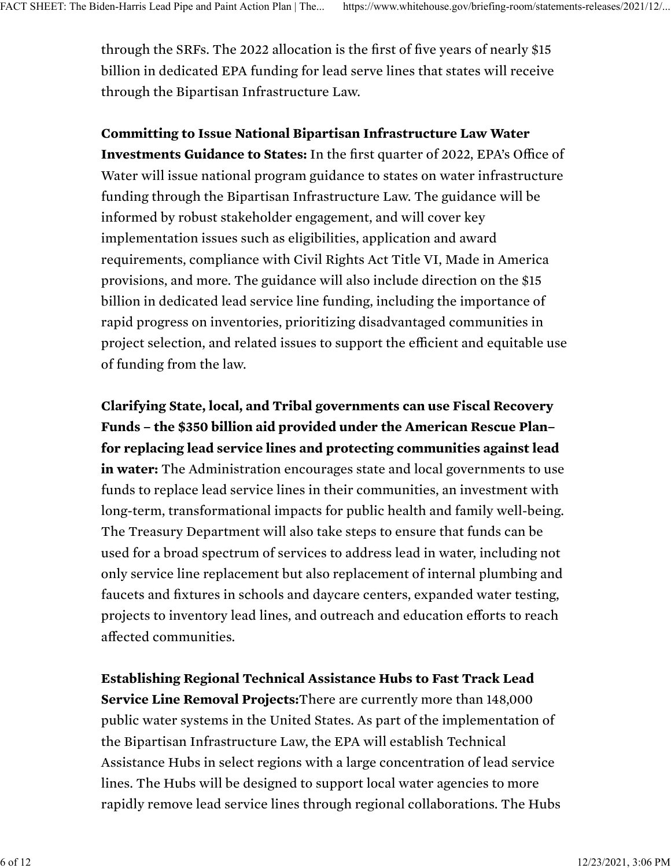through the SRFs. The 2022 allocation is the first of five years of nearly \$15 billion in dedicated EPA funding for lead serve lines that states will receive through the Bipartisan Infrastructure Law.

Committing to Issue National Bipartisan Infrastructure Law Water Investments Guidance to States: In the first quarter of 2022, EPA's Office of Water will issue national program guidance to states on water infrastructure funding through the Bipartisan Infrastructure Law. The guidance will be informed by robust stakeholder engagement, and will cover key implementation issues such as eligibilities, application and award requirements, compliance with Civil Rights Act Title VI, Made in America provisions, and more. The guidance will also include direction on the \$15 billion in dedicated lead service line funding, including the importance of rapid progress on inventories, prioritizing disadvantaged communities in project selection, and related issues to support the efficient and equitable use of funding from the law.

Clarifying State, local, and Tribal governments can use Fiscal Recovery Funds – the \$350 billion aid provided under the American Rescue Plan– for replacing lead service lines and protecting communities against lead in water: The Administration encourages state and local governments to use funds to replace lead service lines in their communities, an investment with long-term, transformational impacts for public health and family well-being. The Treasury Department will also take steps to ensure that funds can be used for a broad spectrum of services to address lead in water, including not only service line replacement but also replacement of internal plumbing and faucets and fixtures in schools and daycare centers, expanded water testing, projects to inventory lead lines, and outreach and education efforts to reach affected communities.

Establishing Regional Technical Assistance Hubs to Fast Track Lead Service Line Removal Projects:There are currently more than 148,000 public water systems in the United States. As part of the implementation of the Bipartisan Infrastructure Law, the EPA will establish Technical Assistance Hubs in select regions with a large concentration of lead service lines. The Hubs will be designed to support local water agencies to more rapidly remove lead service lines through regional collaborations. The Hubs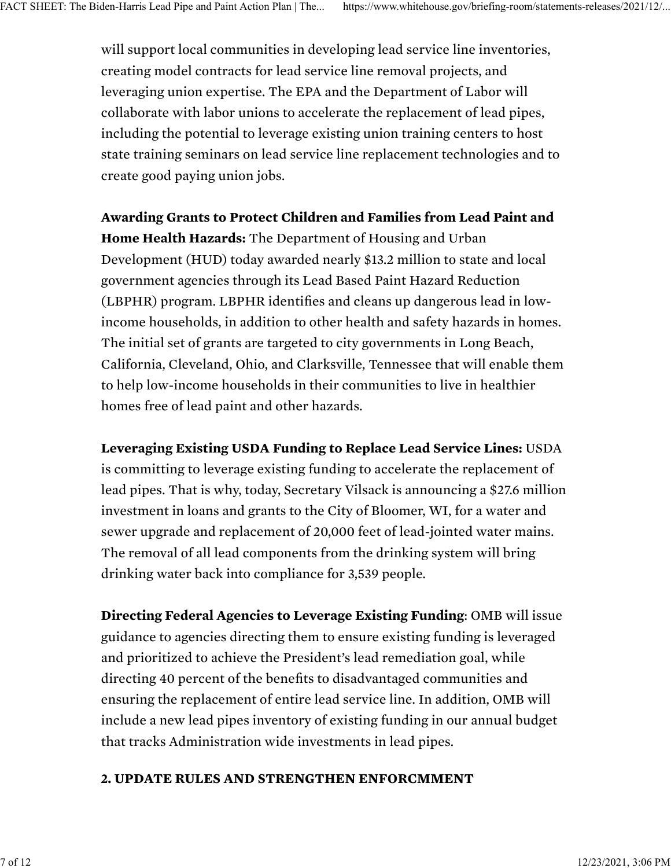will support local communities in developing lead service line inventories, creating model contracts for lead service line removal projects, and leveraging union expertise. The EPA and the Department of Labor will collaborate with labor unions to accelerate the replacement of lead pipes, including the potential to leverage existing union training centers to host state training seminars on lead service line replacement technologies and to create good paying union jobs.

Awarding Grants to Protect Children and Families from Lead Paint and Home Health Hazards: The Department of Housing and Urban Development (HUD) today awarded nearly \$13.2 million to state and local government agencies through its Lead Based Paint Hazard Reduction (LBPHR) program. LBPHR identifies and cleans up dangerous lead in lowincome households, in addition to other health and safety hazards in homes. The initial set of grants are targeted to city governments in Long Beach, California, Cleveland, Ohio, and Clarksville, Tennessee that will enable them to help low-income households in their communities to live in healthier homes free of lead paint and other hazards.

Leveraging Existing USDA Funding to Replace Lead Service Lines: USDA is committing to leverage existing funding to accelerate the replacement of lead pipes. That is why, today, Secretary Vilsack is announcing a \$27.6 million investment in loans and grants to the City of Bloomer, WI, for a water and sewer upgrade and replacement of 20,000 feet of lead-jointed water mains. The removal of all lead components from the drinking system will bring drinking water back into compliance for 3,539 people.

Directing Federal Agencies to Leverage Existing Funding: OMB will issue guidance to agencies directing them to ensure existing funding is leveraged and prioritized to achieve the President's lead remediation goal, while directing 40 percent of the benefits to disadvantaged communities and ensuring the replacement of entire lead service line. In addition, OMB will include a new lead pipes inventory of existing funding in our annual budget that tracks Administration wide investments in lead pipes.

#### 2. UPDATE RULES AND STRENGTHEN ENFORCMMENT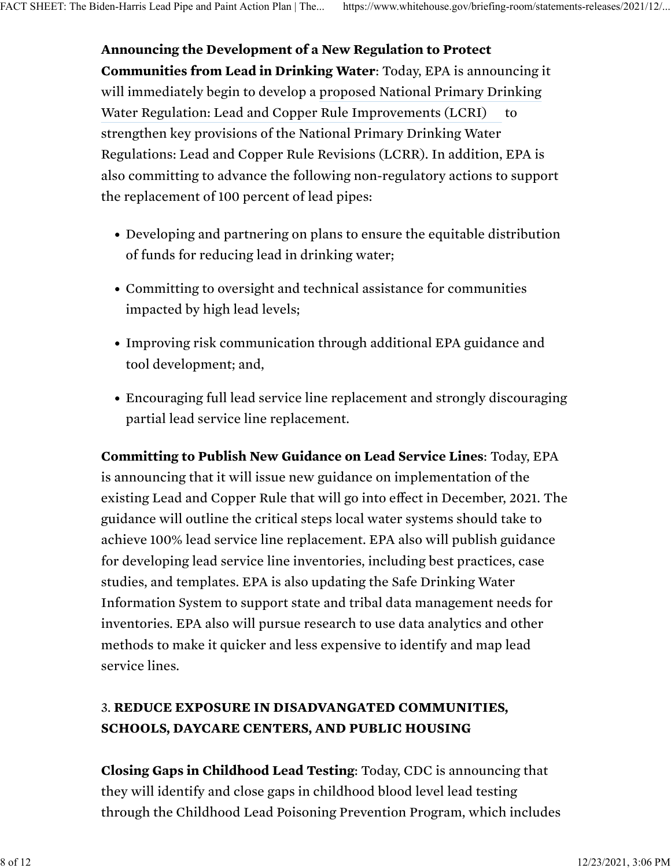Announcing the Development of a New Regulation to Protect Communities from Lead in Drinking Water: Today, EPA is announcing it will immediately begin to develop a [proposed National Primary Drinking](https://www.epa.gov/ground-water-and-drinking-water/review-national-primary-drinking-water-regulation-lead-and-copper) to strengthen key provisions of the National Primary Drinking Water Regulations: Lead and Copper Rule Revisions (LCRR). In addition, EPA is also committing to advance the following non-regulatory actions to support the replacement of 100 percent of lead pipes: [Water Regulation: Lead and Copper Rule Improvements \(LCRI\)](https://www.epa.gov/ground-water-and-drinking-water/review-national-primary-drinking-water-regulation-lead-and-copper)

- Developing and partnering on plans to ensure the equitable distribution of funds for reducing lead in drinking water;
- Committing to oversight and technical assistance for communities impacted by high lead levels;
- Improving risk communication through additional EPA guidance and tool development; and,
- Encouraging full lead service line replacement and strongly discouraging partial lead service line replacement.

Committing to Publish New Guidance on Lead Service Lines: Today, EPA is announcing that it will issue new guidance on implementation of the existing Lead and Copper Rule that will go into effect in December, 2021. The guidance will outline the critical steps local water systems should take to achieve 100% lead service line replacement. EPA also will publish guidance for developing lead service line inventories, including best practices, case studies, and templates. EPA is also updating the Safe Drinking Water Information System to support state and tribal data management needs for inventories. EPA also will pursue research to use data analytics and other methods to make it quicker and less expensive to identify and map lead service lines.

# 3. REDUCE EXPOSURE IN DISADVANGATED COMMUNITIES, SCHOOLS, DAYCARE CENTERS, AND PUBLIC HOUSING

Closing Gaps in Childhood Lead Testing: Today, CDC is announcing that they will identify and close gaps in childhood blood level lead testing through the Childhood Lead Poisoning Prevention Program, which includes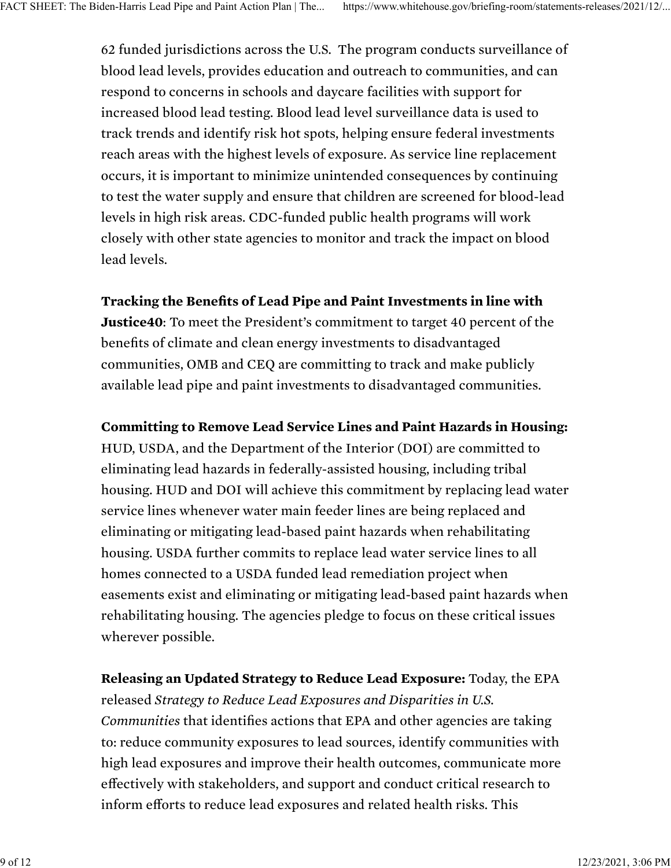62 funded jurisdictions across the U.S. The program conducts surveillance of blood lead levels, provides education and outreach to communities, and can respond to concerns in schools and daycare facilities with support for increased blood lead testing. Blood lead level surveillance data is used to track trends and identify risk hot spots, helping ensure federal investments reach areas with the highest levels of exposure. As service line replacement occurs, it is important to minimize unintended consequences by continuing to test the water supply and ensure that children are screened for blood-lead levels in high risk areas. CDC-funded public health programs will work closely with other state agencies to monitor and track the impact on blood lead levels.

#### Tracking the Benefits of Lead Pipe and Paint Investments in line with

Justice40: To meet the President's commitment to target 40 percent of the benefits of climate and clean energy investments to disadvantaged communities, OMB and CEQ are committing to track and make publicly available lead pipe and paint investments to disadvantaged communities.

#### Committing to Remove Lead Service Lines and Paint Hazards in Housing:

HUD, USDA, and the Department of the Interior (DOI) are committed to eliminating lead hazards in federally-assisted housing, including tribal housing. HUD and DOI will achieve this commitment by replacing lead water service lines whenever water main feeder lines are being replaced and eliminating or mitigating lead-based paint hazards when rehabilitating housing. USDA further commits to replace lead water service lines to all homes connected to a USDA funded lead remediation project when easements exist and eliminating or mitigating lead-based paint hazards when rehabilitating housing. The agencies pledge to focus on these critical issues wherever possible.

Releasing an Updated Strategy to Reduce Lead Exposure: Today, the EPA released *Strategy to Reduce Lead Exposures and Disparities in U.S. Communities* that identifies actions that EPA and other agencies are taking to: reduce community exposures to lead sources, identify communities with high lead exposures and improve their health outcomes, communicate more effectively with stakeholders, and support and conduct critical research to inform efforts to reduce lead exposures and related health risks. This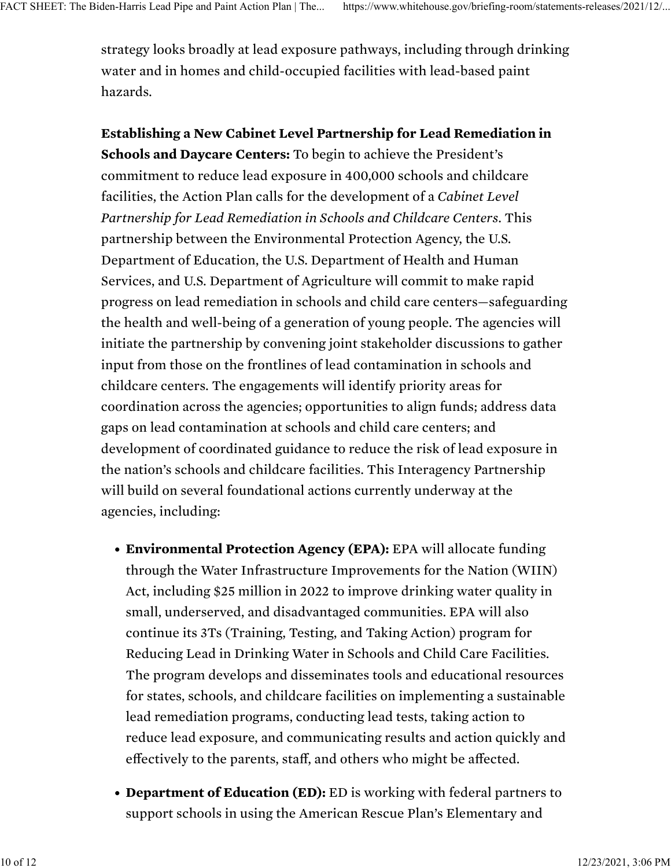strategy looks broadly at lead exposure pathways, including through drinking water and in homes and child-occupied facilities with lead-based paint hazards.

Establishing a New Cabinet Level Partnership for Lead Remediation in Schools and Daycare Centers: To begin to achieve the President's commitment to reduce lead exposure in 400,000 schools and childcare facilities, the Action Plan calls for the development of a *Cabinet Level Partnership for Lead Remediation in Schools and Childcare Centers*. This partnership between the Environmental Protection Agency, the U.S. Department of Education, the U.S. Department of Health and Human Services, and U.S. Department of Agriculture will commit to make rapid progress on lead remediation in schools and child care centers—safeguarding the health and well-being of a generation of young people. The agencies will initiate the partnership by convening joint stakeholder discussions to gather input from those on the frontlines of lead contamination in schools and childcare centers. The engagements will identify priority areas for coordination across the agencies; opportunities to align funds; address data gaps on lead contamination at schools and child care centers; and development of coordinated guidance to reduce the risk of lead exposure in the nation's schools and childcare facilities. This Interagency Partnership will build on several foundational actions currently underway at the agencies, including:

- Environmental Protection Agency (EPA): EPA will allocate funding through the Water Infrastructure Improvements for the Nation (WIIN) Act, including \$25 million in 2022 to improve drinking water quality in small, underserved, and disadvantaged communities. EPA will also continue its 3Ts (Training, Testing, and Taking Action) program for Reducing Lead in Drinking Water in Schools and Child Care Facilities. The program develops and disseminates tools and educational resources for states, schools, and childcare facilities on implementing a sustainable lead remediation programs, conducting lead tests, taking action to reduce lead exposure, and communicating results and action quickly and effectively to the parents, staff, and others who might be affected.
- Department of Education (ED): ED is working with federal partners to support schools in using the American Rescue Plan's Elementary and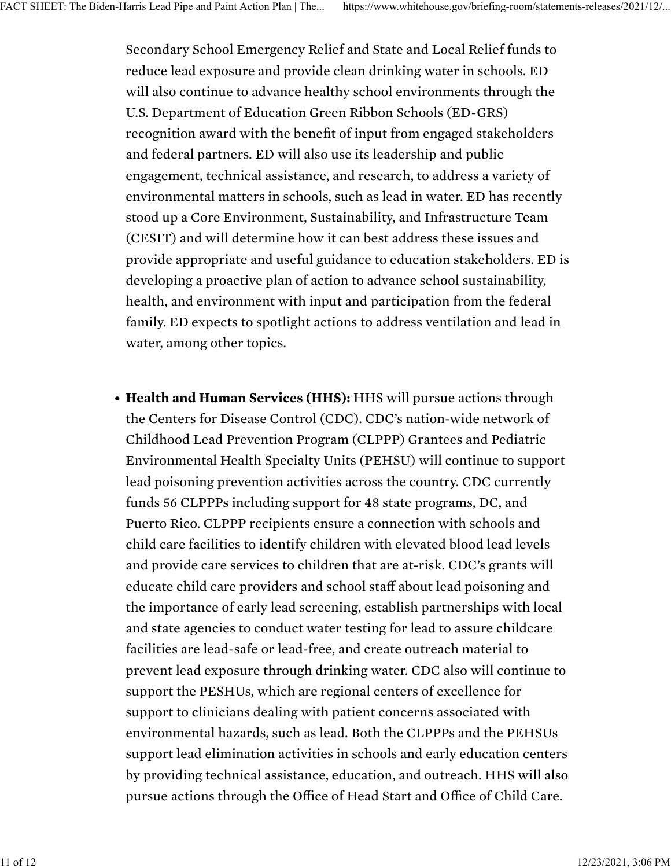Secondary School Emergency Relief and State and Local Relief funds to reduce lead exposure and provide clean drinking water in schools. ED will also continue to advance healthy school environments through the U.S. Department of Education Green Ribbon Schools (ED-GRS) recognition award with the benefit of input from engaged stakeholders and federal partners. ED will also use its leadership and public engagement, technical assistance, and research, to address a variety of environmental matters in schools, such as lead in water. ED has recently stood up a Core Environment, Sustainability, and Infrastructure Team (CESIT) and will determine how it can best address these issues and provide appropriate and useful guidance to education stakeholders. ED is developing a proactive plan of action to advance school sustainability, health, and environment with input and participation from the federal family. ED expects to spotlight actions to address ventilation and lead in water, among other topics.

• Health and Human Services (HHS): HHS will pursue actions through the Centers for Disease Control (CDC). CDC's nation-wide network of Childhood Lead Prevention Program (CLPPP) Grantees and Pediatric Environmental Health Specialty Units (PEHSU) will continue to support lead poisoning prevention activities across the country. CDC currently funds 56 CLPPPs including support for 48 state programs, DC, and Puerto Rico. CLPPP recipients ensure a connection with schools and child care facilities to identify children with elevated blood lead levels and provide care services to children that are at-risk. CDC's grants will educate child care providers and school staff about lead poisoning and the importance of early lead screening, establish partnerships with local and state agencies to conduct water testing for lead to assure childcare facilities are lead-safe or lead-free, and create outreach material to prevent lead exposure through drinking water. CDC also will continue to support the PESHUs, which are regional centers of excellence for support to clinicians dealing with patient concerns associated with environmental hazards, such as lead. Both the CLPPPs and the PEHSUs support lead elimination activities in schools and early education centers by providing technical assistance, education, and outreach. HHS will also pursue actions through the Office of Head Start and Office of Child Care.